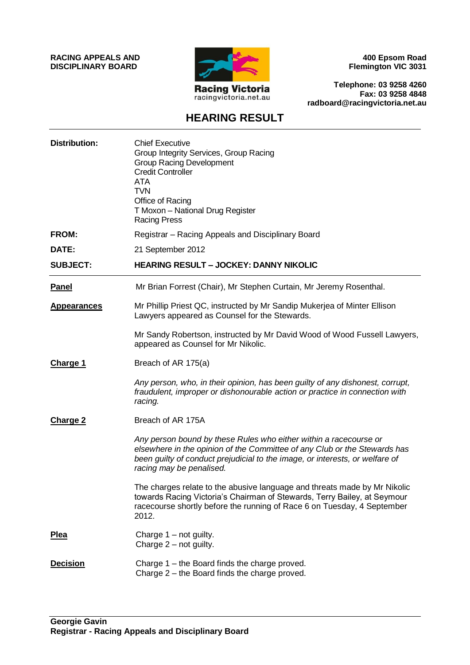**RACING APPEALS AND DISCIPLINARY BOARD**



**400 Epsom Road Flemington VIC 3031**

**Telephone: 03 9258 4260 Fax: 03 9258 4848 radboard@racingvictoria.net.au**

# **HEARING RESULT**

| <b>Distribution:</b> | <b>Chief Executive</b><br>Group Integrity Services, Group Racing<br><b>Group Racing Development</b><br><b>Credit Controller</b><br>ATA<br><b>TVN</b><br>Office of Racing<br>T Moxon - National Drug Register<br><b>Racing Press</b>                        |
|----------------------|------------------------------------------------------------------------------------------------------------------------------------------------------------------------------------------------------------------------------------------------------------|
| <b>FROM:</b>         | Registrar – Racing Appeals and Disciplinary Board                                                                                                                                                                                                          |
| DATE:                | 21 September 2012                                                                                                                                                                                                                                          |
| <b>SUBJECT:</b>      | <b>HEARING RESULT - JOCKEY: DANNY NIKOLIC</b>                                                                                                                                                                                                              |
| <b>Panel</b>         | Mr Brian Forrest (Chair), Mr Stephen Curtain, Mr Jeremy Rosenthal.                                                                                                                                                                                         |
| <b>Appearances</b>   | Mr Phillip Priest QC, instructed by Mr Sandip Mukerjea of Minter Ellison<br>Lawyers appeared as Counsel for the Stewards.                                                                                                                                  |
|                      | Mr Sandy Robertson, instructed by Mr David Wood of Wood Fussell Lawyers,<br>appeared as Counsel for Mr Nikolic.                                                                                                                                            |
| <b>Charge 1</b>      | Breach of AR 175(a)                                                                                                                                                                                                                                        |
|                      | Any person, who, in their opinion, has been guilty of any dishonest, corrupt,<br>fraudulent, improper or dishonourable action or practice in connection with<br>racing.                                                                                    |
| <b>Charge 2</b>      | Breach of AR 175A                                                                                                                                                                                                                                          |
|                      | Any person bound by these Rules who either within a racecourse or<br>elsewhere in the opinion of the Committee of any Club or the Stewards has<br>been guilty of conduct prejudicial to the image, or interests, or welfare of<br>racing may be penalised. |
|                      | The charges relate to the abusive language and threats made by Mr Nikolic<br>towards Racing Victoria's Chairman of Stewards, Terry Bailey, at Seymour<br>racecourse shortly before the running of Race 6 on Tuesday, 4 September<br>2012.                  |
| <b>Plea</b>          | Charge 1 - not guilty.<br>Charge $2$ – not guilty.                                                                                                                                                                                                         |
| <b>Decision</b>      | Charge 1 – the Board finds the charge proved.<br>Charge 2 - the Board finds the charge proved.                                                                                                                                                             |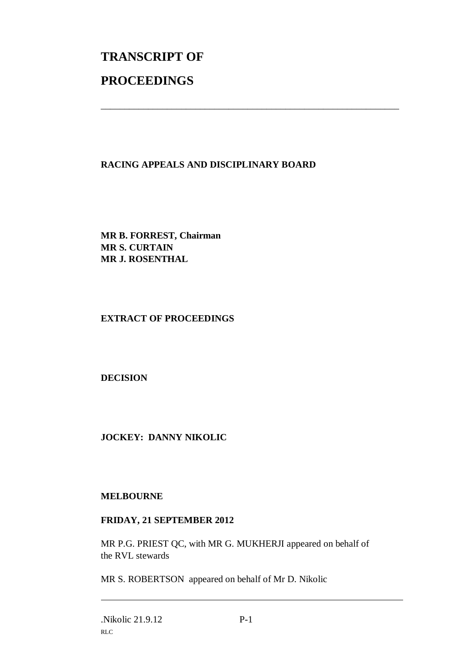# **TRANSCRIPT OF PROCEEDINGS**

## **RACING APPEALS AND DISCIPLINARY BOARD**

\_\_\_\_\_\_\_\_\_\_\_\_\_\_\_\_\_\_\_\_\_\_\_\_\_\_\_\_\_\_\_\_\_\_\_\_\_\_\_\_\_\_\_\_\_\_\_\_\_\_\_\_\_\_\_\_\_\_\_\_\_\_\_

**MR B. FORREST, Chairman MR S. CURTAIN MR J. ROSENTHAL**

#### **EXTRACT OF PROCEEDINGS**

**DECISION**

### **JOCKEY: DANNY NIKOLIC**

#### **MELBOURNE**

#### **FRIDAY, 21 SEPTEMBER 2012**

MR P.G. PRIEST QC, with MR G. MUKHERJI appeared on behalf of the RVL stewards

MR S. ROBERTSON appeared on behalf of Mr D. Nikolic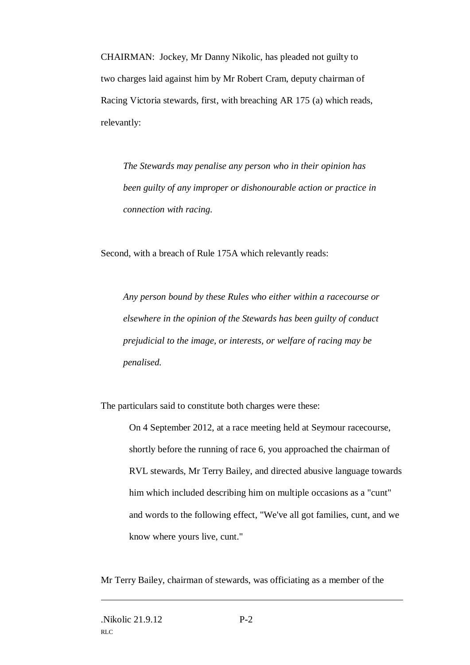CHAIRMAN: Jockey, Mr Danny Nikolic, has pleaded not guilty to two charges laid against him by Mr Robert Cram, deputy chairman of Racing Victoria stewards, first, with breaching AR 175 (a) which reads, relevantly:

*The Stewards may penalise any person who in their opinion has been guilty of any improper or dishonourable action or practice in connection with racing.*

Second, with a breach of Rule 175A which relevantly reads:

*Any person bound by these Rules who either within a racecourse or elsewhere in the opinion of the Stewards has been guilty of conduct prejudicial to the image, or interests, or welfare of racing may be penalised.* 

The particulars said to constitute both charges were these:

On 4 September 2012, at a race meeting held at Seymour racecourse, shortly before the running of race 6, you approached the chairman of RVL stewards, Mr Terry Bailey, and directed abusive language towards him which included describing him on multiple occasions as a "cunt" and words to the following effect, "We've all got families, cunt, and we know where yours live, cunt."

Mr Terry Bailey, chairman of stewards, was officiating as a member of the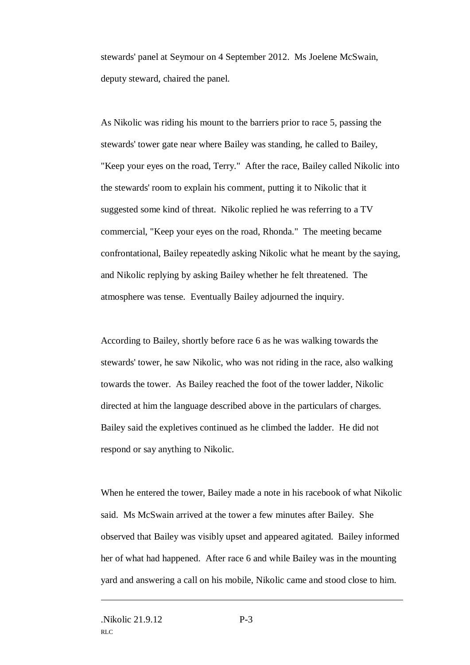stewards' panel at Seymour on 4 September 2012. Ms Joelene McSwain, deputy steward, chaired the panel.

As Nikolic was riding his mount to the barriers prior to race 5, passing the stewards' tower gate near where Bailey was standing, he called to Bailey, "Keep your eyes on the road, Terry." After the race, Bailey called Nikolic into the stewards' room to explain his comment, putting it to Nikolic that it suggested some kind of threat. Nikolic replied he was referring to a TV commercial, "Keep your eyes on the road, Rhonda." The meeting became confrontational, Bailey repeatedly asking Nikolic what he meant by the saying, and Nikolic replying by asking Bailey whether he felt threatened. The atmosphere was tense. Eventually Bailey adjourned the inquiry.

According to Bailey, shortly before race 6 as he was walking towards the stewards' tower, he saw Nikolic, who was not riding in the race, also walking towards the tower. As Bailey reached the foot of the tower ladder, Nikolic directed at him the language described above in the particulars of charges. Bailey said the expletives continued as he climbed the ladder. He did not respond or say anything to Nikolic.

When he entered the tower, Bailey made a note in his racebook of what Nikolic said. Ms McSwain arrived at the tower a few minutes after Bailey. She observed that Bailey was visibly upset and appeared agitated. Bailey informed her of what had happened. After race 6 and while Bailey was in the mounting yard and answering a call on his mobile, Nikolic came and stood close to him.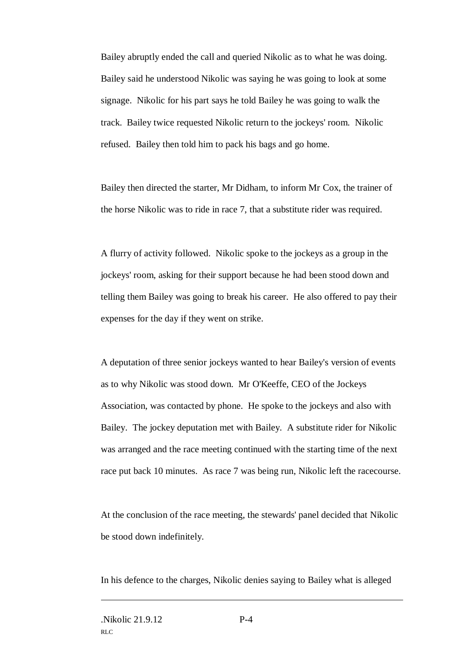Bailey abruptly ended the call and queried Nikolic as to what he was doing. Bailey said he understood Nikolic was saying he was going to look at some signage. Nikolic for his part says he told Bailey he was going to walk the track. Bailey twice requested Nikolic return to the jockeys' room. Nikolic refused. Bailey then told him to pack his bags and go home.

Bailey then directed the starter, Mr Didham, to inform Mr Cox, the trainer of the horse Nikolic was to ride in race 7, that a substitute rider was required.

A flurry of activity followed. Nikolic spoke to the jockeys as a group in the jockeys' room, asking for their support because he had been stood down and telling them Bailey was going to break his career. He also offered to pay their expenses for the day if they went on strike.

A deputation of three senior jockeys wanted to hear Bailey's version of events as to why Nikolic was stood down. Mr O'Keeffe, CEO of the Jockeys Association, was contacted by phone. He spoke to the jockeys and also with Bailey. The jockey deputation met with Bailey. A substitute rider for Nikolic was arranged and the race meeting continued with the starting time of the next race put back 10 minutes. As race 7 was being run, Nikolic left the racecourse.

At the conclusion of the race meeting, the stewards' panel decided that Nikolic be stood down indefinitely.

In his defence to the charges, Nikolic denies saying to Bailey what is alleged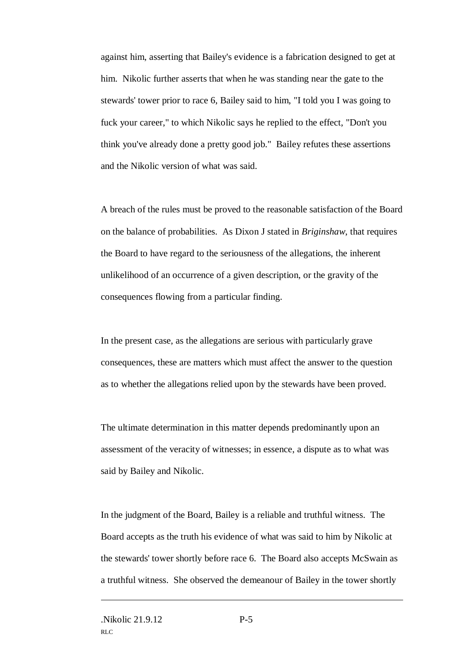against him, asserting that Bailey's evidence is a fabrication designed to get at him. Nikolic further asserts that when he was standing near the gate to the stewards' tower prior to race 6, Bailey said to him, "I told you I was going to fuck your career," to which Nikolic says he replied to the effect, "Don't you think you've already done a pretty good job." Bailey refutes these assertions and the Nikolic version of what was said.

A breach of the rules must be proved to the reasonable satisfaction of the Board on the balance of probabilities. As Dixon J stated in *Briginshaw*, that requires the Board to have regard to the seriousness of the allegations, the inherent unlikelihood of an occurrence of a given description, or the gravity of the consequences flowing from a particular finding.

In the present case, as the allegations are serious with particularly grave consequences, these are matters which must affect the answer to the question as to whether the allegations relied upon by the stewards have been proved.

The ultimate determination in this matter depends predominantly upon an assessment of the veracity of witnesses; in essence, a dispute as to what was said by Bailey and Nikolic.

In the judgment of the Board, Bailey is a reliable and truthful witness. The Board accepts as the truth his evidence of what was said to him by Nikolic at the stewards' tower shortly before race 6. The Board also accepts McSwain as a truthful witness. She observed the demeanour of Bailey in the tower shortly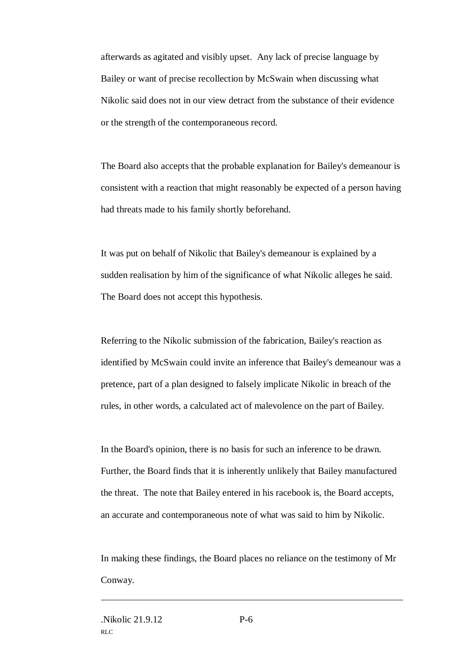afterwards as agitated and visibly upset. Any lack of precise language by Bailey or want of precise recollection by McSwain when discussing what Nikolic said does not in our view detract from the substance of their evidence or the strength of the contemporaneous record.

The Board also accepts that the probable explanation for Bailey's demeanour is consistent with a reaction that might reasonably be expected of a person having had threats made to his family shortly beforehand.

It was put on behalf of Nikolic that Bailey's demeanour is explained by a sudden realisation by him of the significance of what Nikolic alleges he said. The Board does not accept this hypothesis.

Referring to the Nikolic submission of the fabrication, Bailey's reaction as identified by McSwain could invite an inference that Bailey's demeanour was a pretence, part of a plan designed to falsely implicate Nikolic in breach of the rules, in other words, a calculated act of malevolence on the part of Bailey.

In the Board's opinion, there is no basis for such an inference to be drawn. Further, the Board finds that it is inherently unlikely that Bailey manufactured the threat. The note that Bailey entered in his racebook is, the Board accepts, an accurate and contemporaneous note of what was said to him by Nikolic.

In making these findings, the Board places no reliance on the testimony of Mr Conway.